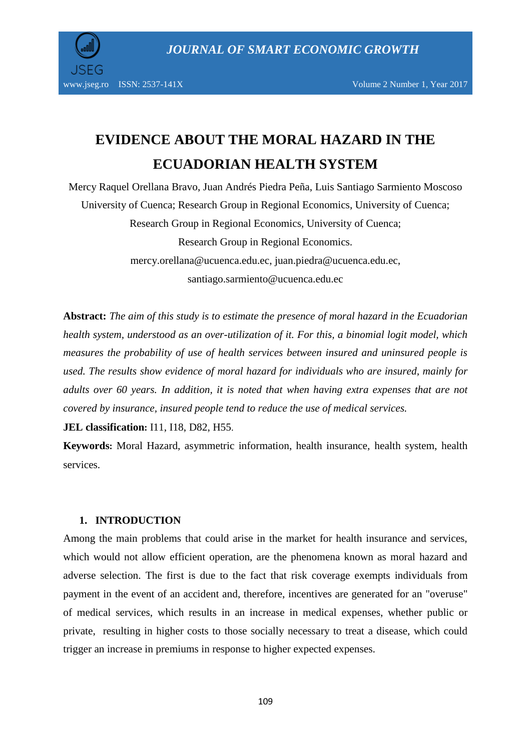

# **EVIDENCE ABOUT THE MORAL HAZARD IN THE ECUADORIAN HEALTH SYSTEM**

Mercy Raquel Orellana Bravo, Juan Andrés Piedra Peña, Luis Santiago Sarmiento Moscoso University of Cuenca; Research Group in Regional Economics, University of Cuenca; Research Group in Regional Economics, University of Cuenca; Research Group in Regional Economics. [mercy.orellana@ucuenca.edu.ec,](mailto:mercy.orellana@ucuenca.edu.ec) [juan.piedra@ucuenca.edu.ec,](mailto:juan.piedra@ucuenca.edu.ec) [santiago.sarmiento@ucuenca.edu.ec](mailto:santiago.sarmiento@ucuenca.edu.ec)

**Abstract:** *The aim of this study is to estimate the presence of moral hazard in the Ecuadorian health system, understood as an over-utilization of it. For this, a binomial logit model, which measures the probability of use of health services between insured and uninsured people is used. The results show evidence of moral hazard for individuals who are insured, mainly for adults over 60 years. In addition, it is noted that when having extra expenses that are not covered by insurance, insured people tend to reduce the use of medical services.*

**JEL classification:** I11, I18, D82, H55.

**Keywords:** Moral Hazard, asymmetric information, health insurance, health system, health services.

### **1. INTRODUCTION**

Among the main problems that could arise in the market for health insurance and services, which would not allow efficient operation, are the phenomena known as moral hazard and adverse selection. The first is due to the fact that risk coverage exempts individuals from payment in the event of an accident and, therefore, incentives are generated for an "overuse" of medical services, which results in an increase in medical expenses, whether public or private, resulting in higher costs to those socially necessary to treat a disease, which could trigger an increase in premiums in response to higher expected expenses.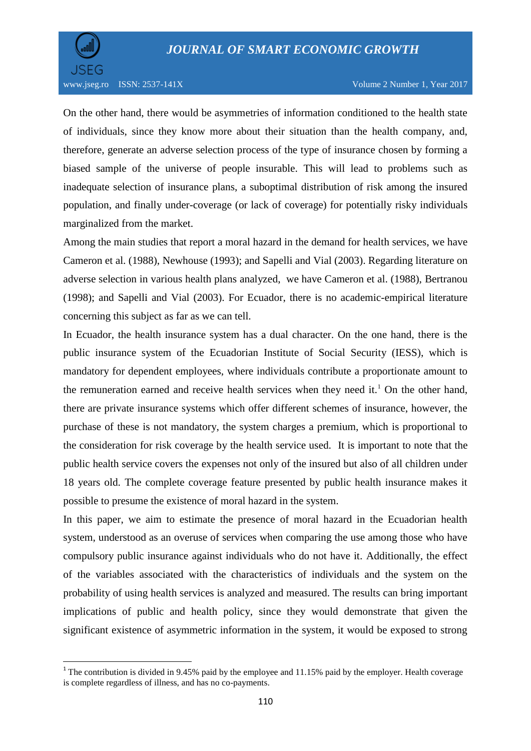

 $\overline{a}$ 

On the other hand, there would be asymmetries of information conditioned to the health state of individuals, since they know more about their situation than the health company, and, therefore, generate an adverse selection process of the type of insurance chosen by forming a biased sample of the universe of people insurable. This will lead to problems such as inadequate selection of insurance plans, a suboptimal distribution of risk among the insured population, and finally under-coverage (or lack of coverage) for potentially risky individuals marginalized from the market.

Among the main studies that report a moral hazard in the demand for health services, we have Cameron et al. (1988), Newhouse (1993); and Sapelli and Vial (2003). Regarding literature on adverse selection in various health plans analyzed, we have Cameron et al. (1988), Bertranou (1998); and Sapelli and Vial (2003). For Ecuador, there is no academic-empirical literature concerning this subject as far as we can tell.

In Ecuador, the health insurance system has a dual character. On the one hand, there is the public insurance system of the Ecuadorian Institute of Social Security (IESS), which is mandatory for dependent employees, where individuals contribute a proportionate amount to the remuneration earned and receive health services when they need it.<sup>1</sup> On the other hand, there are private insurance systems which offer different schemes of insurance, however, the purchase of these is not mandatory, the system charges a premium, which is proportional to the consideration for risk coverage by the health service used. It is important to note that the public health service covers the expenses not only of the insured but also of all children under 18 years old. The complete coverage feature presented by public health insurance makes it possible to presume the existence of moral hazard in the system.

In this paper, we aim to estimate the presence of moral hazard in the Ecuadorian health system, understood as an overuse of services when comparing the use among those who have compulsory public insurance against individuals who do not have it. Additionally, the effect of the variables associated with the characteristics of individuals and the system on the probability of using health services is analyzed and measured. The results can bring important implications of public and health policy, since they would demonstrate that given the significant existence of asymmetric information in the system, it would be exposed to strong

<sup>&</sup>lt;sup>1</sup> The contribution is divided in 9.45% paid by the employee and 11.15% paid by the employer. Health coverage is complete regardless of illness, and has no co-payments.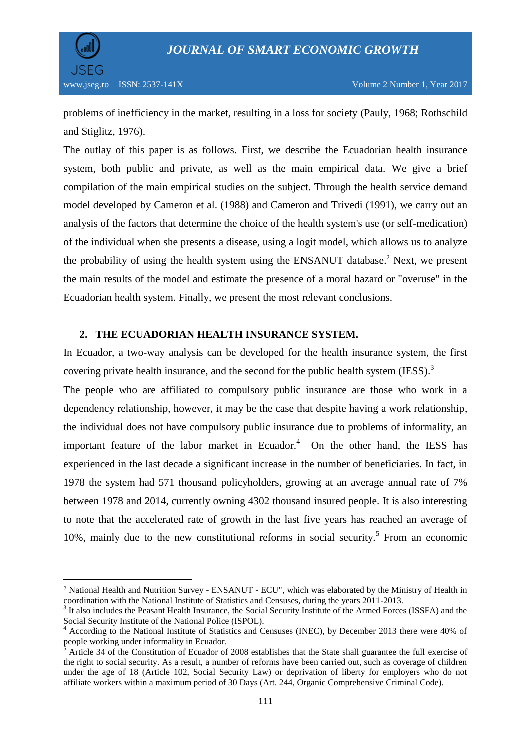

 $\overline{a}$ 

problems of inefficiency in the market, resulting in a loss for society (Pauly, 1968; Rothschild and Stiglitz, 1976).

The outlay of this paper is as follows. First, we describe the Ecuadorian health insurance system, both public and private, as well as the main empirical data. We give a brief compilation of the main empirical studies on the subject. Through the health service demand model developed by Cameron et al. (1988) and Cameron and Trivedi (1991), we carry out an analysis of the factors that determine the choice of the health system's use (or self-medication) of the individual when she presents a disease, using a logit model, which allows us to analyze the probability of using the health system using the ENSANUT database. <sup>2</sup> Next, we present the main results of the model and estimate the presence of a moral hazard or "overuse" in the Ecuadorian health system. Finally, we present the most relevant conclusions.

### **2. THE ECUADORIAN HEALTH INSURANCE SYSTEM.**

In Ecuador, a two-way analysis can be developed for the health insurance system, the first covering private health insurance, and the second for the public health system (IESS).<sup>3</sup>

The people who are affiliated to compulsory public insurance are those who work in a dependency relationship, however, it may be the case that despite having a work relationship, the individual does not have compulsory public insurance due to problems of informality, an important feature of the labor market in Ecuador. $4$  On the other hand, the IESS has experienced in the last decade a significant increase in the number of beneficiaries. In fact, in 1978 the system had 571 thousand policyholders, growing at an average annual rate of 7% between 1978 and 2014, currently owning 4302 thousand insured people. It is also interesting to note that the accelerated rate of growth in the last five years has reached an average of 10%, mainly due to the new constitutional reforms in social security.<sup>5</sup> From an economic

<sup>2</sup> National Health and Nutrition Survey - ENSANUT - ECU", which was elaborated by the Ministry of Health in coordination with the National Institute of Statistics and Censuses, during the years 2011-2013.

<sup>&</sup>lt;sup>3</sup> It also includes the Peasant Health Insurance, the Social Security Institute of the Armed Forces (ISSFA) and the Social Security Institute of the National Police (ISPOL).

<sup>4</sup> According to the National Institute of Statistics and Censuses (INEC), by December 2013 there were 40% of people working under informality in Ecuador.

Article 34 of the Constitution of Ecuador of 2008 establishes that the State shall guarantee the full exercise of the right to social security. As a result, a number of reforms have been carried out, such as coverage of children under the age of 18 (Article 102, Social Security Law) or deprivation of liberty for employers who do not affiliate workers within a maximum period of 30 Days (Art. 244, Organic Comprehensive Criminal Code).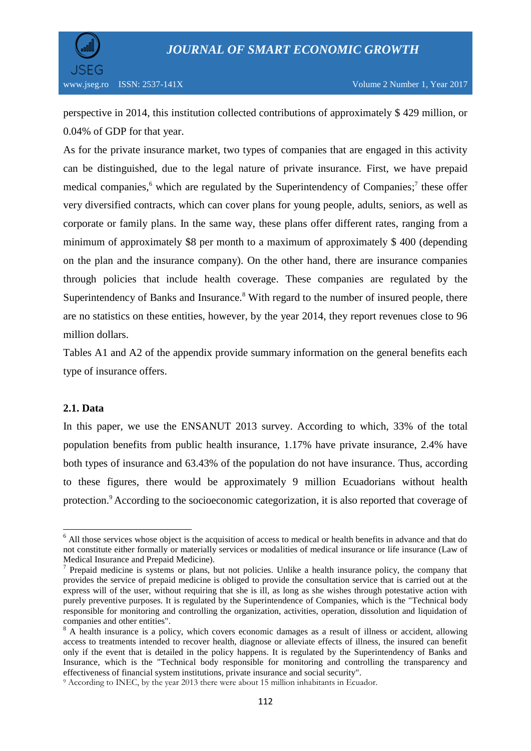

perspective in 2014, this institution collected contributions of approximately \$ 429 million, or 0.04% of GDP for that year.

As for the private insurance market, two types of companies that are engaged in this activity can be distinguished, due to the legal nature of private insurance. First, we have prepaid medical companies,<sup>6</sup> which are regulated by the Superintendency of Companies;<sup>7</sup> these offer very diversified contracts, which can cover plans for young people, adults, seniors, as well as corporate or family plans. In the same way, these plans offer different rates, ranging from a minimum of approximately \$8 per month to a maximum of approximately \$ 400 (depending on the plan and the insurance company). On the other hand, there are insurance companies through policies that include health coverage. These companies are regulated by the Superintendency of Banks and Insurance.<sup>8</sup> With regard to the number of insured people, there are no statistics on these entities, however, by the year 2014, they report revenues close to 96 million dollars.

Tables A1 and A2 of the appendix provide summary information on the general benefits each type of insurance offers.

### **2.1. Data**

 $\overline{a}$ 

In this paper, we use the ENSANUT 2013 survey. According to which, 33% of the total population benefits from public health insurance, 1.17% have private insurance, 2.4% have both types of insurance and 63.43% of the population do not have insurance. Thus, according to these figures, there would be approximately 9 million Ecuadorians without health protection.<sup>9</sup> According to the socioeconomic categorization, it is also reported that coverage of

 $6$  All those services whose object is the acquisition of access to medical or health benefits in advance and that do not constitute either formally or materially services or modalities of medical insurance or life insurance (Law of Medical Insurance and Prepaid Medicine).

 $<sup>7</sup>$  Prepaid medicine is systems or plans, but not policies. Unlike a health insurance policy, the company that</sup> provides the service of prepaid medicine is obliged to provide the consultation service that is carried out at the express will of the user, without requiring that she is ill, as long as she wishes through potestative action with purely preventive purposes. It is regulated by the Superintendence of Companies, which is the "Technical body responsible for monitoring and controlling the organization, activities, operation, dissolution and liquidation of companies and other entities".

<sup>&</sup>lt;sup>8</sup> A health insurance is a policy, which covers economic damages as a result of illness or accident, allowing access to treatments intended to recover health, diagnose or alleviate effects of illness, the insured can benefit only if the event that is detailed in the policy happens. It is regulated by the Superintendency of Banks and Insurance, which is the "Technical body responsible for monitoring and controlling the transparency and effectiveness of financial system institutions, private insurance and social security".

<sup>9</sup> According to INEC, by the year 2013 there were about 15 million inhabitants in Ecuador.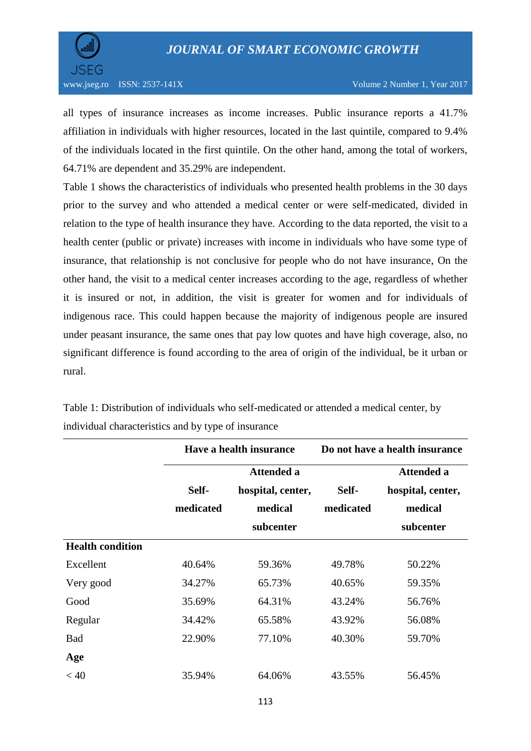

all types of insurance increases as income increases. Public insurance reports a 41.7% affiliation in individuals with higher resources, located in the last quintile, compared to 9.4% of the individuals located in the first quintile. On the other hand, among the total of workers, 64.71% are dependent and 35.29% are independent.

Table 1 shows the characteristics of individuals who presented health problems in the 30 days prior to the survey and who attended a medical center or were self-medicated, divided in relation to the type of health insurance they have. According to the data reported, the visit to a health center (public or private) increases with income in individuals who have some type of insurance, that relationship is not conclusive for people who do not have insurance, On the other hand, the visit to a medical center increases according to the age, regardless of whether it is insured or not, in addition, the visit is greater for women and for individuals of indigenous race. This could happen because the majority of indigenous people are insured under peasant insurance, the same ones that pay low quotes and have high coverage, also, no significant difference is found according to the area of origin of the individual, be it urban or rural.

|                         | Have a health insurance |                   | Do not have a health insurance |                   |
|-------------------------|-------------------------|-------------------|--------------------------------|-------------------|
|                         | <b>Attended a</b>       |                   |                                | <b>Attended a</b> |
|                         | Self-                   | hospital, center, | Self-                          | hospital, center, |
|                         | medicated               | medical           | medicated                      | medical           |
|                         |                         | subcenter         |                                | subcenter         |
| <b>Health condition</b> |                         |                   |                                |                   |
| Excellent               | 40.64%                  | 59.36%            | 49.78%                         | 50.22%            |
| Very good               | 34.27%                  | 65.73%            | 40.65%                         | 59.35%            |
| Good                    | 35.69%                  | 64.31%            | 43.24%                         | 56.76%            |
| Regular                 | 34.42%                  | 65.58%            | 43.92%                         | 56.08%            |
| <b>Bad</b>              | 22.90%                  | 77.10%            | 40.30%                         | 59.70%            |
| Age                     |                         |                   |                                |                   |
| < 40                    | 35.94%                  | 64.06%            | 43.55%                         | 56.45%            |

Table 1: Distribution of individuals who self-medicated or attended a medical center, by individual characteristics and by type of insurance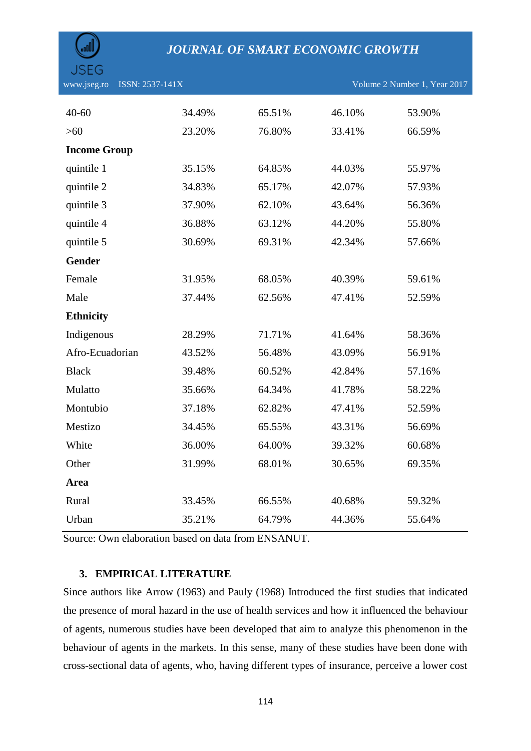| JSEG                           |        |        |        |                              |
|--------------------------------|--------|--------|--------|------------------------------|
| www.jseg.ro<br>ISSN: 2537-141X |        |        |        | Volume 2 Number 1, Year 2017 |
| $40 - 60$                      | 34.49% | 65.51% | 46.10% | 53.90%                       |
| $>60$                          | 23.20% | 76.80% | 33.41% | 66.59%                       |
| <b>Income Group</b>            |        |        |        |                              |
| quintile 1                     | 35.15% | 64.85% | 44.03% | 55.97%                       |
| quintile 2                     | 34.83% | 65.17% | 42.07% | 57.93%                       |
| quintile 3                     | 37.90% | 62.10% | 43.64% | 56.36%                       |
| quintile 4                     | 36.88% | 63.12% | 44.20% | 55.80%                       |
| quintile 5                     | 30.69% | 69.31% | 42.34% | 57.66%                       |
| <b>Gender</b>                  |        |        |        |                              |
| Female                         | 31.95% | 68.05% | 40.39% | 59.61%                       |
| Male                           | 37.44% | 62.56% | 47.41% | 52.59%                       |
| <b>Ethnicity</b>               |        |        |        |                              |
| Indigenous                     | 28.29% | 71.71% | 41.64% | 58.36%                       |
| Afro-Ecuadorian                | 43.52% | 56.48% | 43.09% | 56.91%                       |
| <b>Black</b>                   | 39.48% | 60.52% | 42.84% | 57.16%                       |
| Mulatto                        | 35.66% | 64.34% | 41.78% | 58.22%                       |
| Montubio                       | 37.18% | 62.82% | 47.41% | 52.59%                       |
| Mestizo                        | 34.45% | 65.55% | 43.31% | 56.69%                       |
| White                          | 36.00% | 64.00% | 39.32% | 60.68%                       |
| Other                          | 31.99% | 68.01% | 30.65% | 69.35%                       |
| Area                           |        |        |        |                              |
| Rural                          | 33.45% | 66.55% | 40.68% | 59.32%                       |
| Urban                          | 35.21% | 64.79% | 44.36% | 55.64%                       |

Source: Own elaboration based on data from ENSANUT.

#### **3. EMPIRICAL LITERATURE**

Since authors like Arrow (1963) and Pauly (1968) Introduced the first studies that indicated the presence of moral hazard in the use of health services and how it influenced the behaviour of agents, numerous studies have been developed that aim to analyze this phenomenon in the behaviour of agents in the markets. In this sense, many of these studies have been done with cross-sectional data of agents, who, having different types of insurance, perceive a lower cost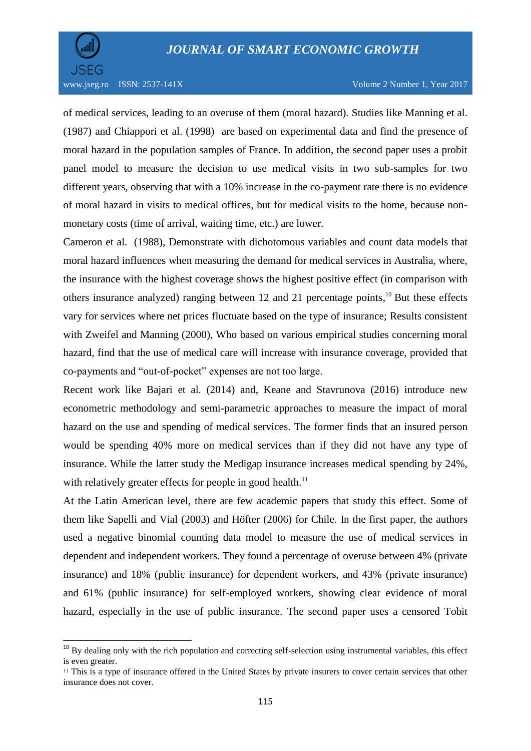

 $\overline{a}$ 

of medical services, leading to an overuse of them (moral hazard). Studies like Manning et al. (1987) and Chiappori et al. (1998) are based on experimental data and find the presence of moral hazard in the population samples of France. In addition, the second paper uses a probit panel model to measure the decision to use medical visits in two sub-samples for two different years, observing that with a 10% increase in the co-payment rate there is no evidence of moral hazard in visits to medical offices, but for medical visits to the home, because nonmonetary costs (time of arrival, waiting time, etc.) are lower.

Cameron et al. (1988), Demonstrate with dichotomous variables and count data models that moral hazard influences when measuring the demand for medical services in Australia, where, the insurance with the highest coverage shows the highest positive effect (in comparison with others insurance analyzed) ranging between 12 and 21 percentage points,<sup>10</sup> But these effects vary for services where net prices fluctuate based on the type of insurance; Results consistent with Zweifel and Manning (2000), Who based on various empirical studies concerning moral hazard, find that the use of medical care will increase with insurance coverage, provided that co-payments and "out-of-pocket" expenses are not too large.

Recent work like Bajari et al. (2014) and, Keane and Stavrunova (2016) introduce new econometric methodology and semi-parametric approaches to measure the impact of moral hazard on the use and spending of medical services. The former finds that an insured person would be spending 40% more on medical services than if they did not have any type of insurance. While the latter study the Medigap insurance increases medical spending by 24%, with relatively greater effects for people in good health.<sup>11</sup>

At the Latin American level, there are few academic papers that study this effect. Some of them like Sapelli and Vial (2003) and Höfter (2006) for Chile. In the first paper, the authors used a negative binomial counting data model to measure the use of medical services in dependent and independent workers. They found a percentage of overuse between 4% (private insurance) and 18% (public insurance) for dependent workers, and 43% (private insurance) and 61% (public insurance) for self-employed workers, showing clear evidence of moral hazard, especially in the use of public insurance. The second paper uses a censored Tobit

<sup>&</sup>lt;sup>10</sup> By dealing only with the rich population and correcting self-selection using instrumental variables, this effect is even greater.

<sup>11</sup> This is a type of insurance offered in the United States by private insurers to cover certain services that other insurance does not cover.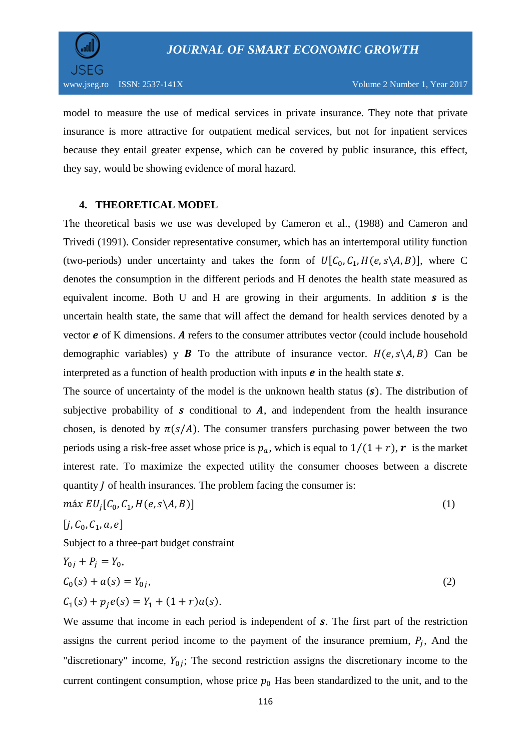

model to measure the use of medical services in private insurance. They note that private insurance is more attractive for outpatient medical services, but not for inpatient services because they entail greater expense, which can be covered by public insurance, this effect, they say, would be showing evidence of moral hazard.

#### **4. THEORETICAL MODEL**

The theoretical basis we use was developed by Cameron et al., (1988) and Cameron and Trivedi (1991). Consider representative consumer, which has an intertemporal utility function (two-periods) under uncertainty and takes the form of  $U[C_0, C_1, H(e, s \setminus A, B)]$ , where C denotes the consumption in the different periods and H denotes the health state measured as equivalent income. Both U and H are growing in their arguments. In addition  $s$  is the uncertain health state, the same that will affect the demand for health services denoted by a vector  $e$  of K dimensions. A refers to the consumer attributes vector (could include household demographic variables) y **B** To the attribute of insurance vector.  $H(e, s \setminus A, B)$  Can be interpreted as a function of health production with inputs  $e$  in the health state  $s$ .

The source of uncertainty of the model is the unknown health status  $(s)$ . The distribution of subjective probability of  $s$  conditional to  $A$ , and independent from the health insurance chosen, is denoted by  $\pi(s/A)$ . The consumer transfers purchasing power between the two periods using a risk-free asset whose price is  $p_a$ , which is equal to  $1/(1+r)$ , r is the market interest rate. To maximize the expected utility the consumer chooses between a discrete quantity  $J$  of health insurances. The problem facing the consumer is:

$$
max \ EU_j[C_0, C_1, H(e, s \setminus A, B)] \tag{1}
$$

$$
[j, C_0, C_1, a, e]
$$

Subject to a three-part budget constraint

$$
Y_{0j} + P_j = Y_0,
$$
  
\n
$$
C_0(s) + a(s) = Y_{0j},
$$
  
\n
$$
C_1(s) + p_j e(s) = Y_1 + (1+r)a(s).
$$
\n(2)

We assume that income in each period is independent of  $s$ . The first part of the restriction assigns the current period income to the payment of the insurance premium,  $P_i$ , And the "discretionary" income,  $Y_{0i}$ ; The second restriction assigns the discretionary income to the current contingent consumption, whose price  $p_0$  Has been standardized to the unit, and to the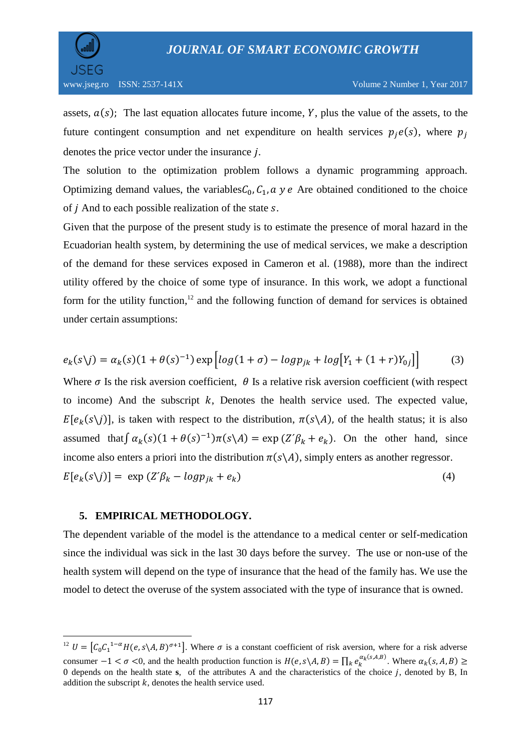

assets,  $a(s)$ ; The last equation allocates future income, Y, plus the value of the assets, to the future contingent consumption and net expenditure on health services  $p_i e(s)$ , where  $p_i$ denotes the price vector under the insurance  $i$ .

The solution to the optimization problem follows a dynamic programming approach. Optimizing demand values, the variables  $C_0$ ,  $C_1$ ,  $\alpha$  y e Are obtained conditioned to the choice of  $\dot{\jmath}$  And to each possible realization of the state  $\delta$ .

Given that the purpose of the present study is to estimate the presence of moral hazard in the Ecuadorian health system, by determining the use of medical services, we make a description of the demand for these services exposed in Cameron et al. (1988), more than the indirect utility offered by the choice of some type of insurance. In this work, we adopt a functional form for the utility function,<sup>12</sup> and the following function of demand for services is obtained under certain assumptions:

$$
e_k(s \setminus j) = \alpha_k(s)(1 + \theta(s)^{-1}) \exp \left[ \log(1 + \sigma) - \log p_{jk} + \log[Y_1 + (1 + r)Y_{0j}] \right] \tag{3}
$$

Where  $\sigma$  Is the risk aversion coefficient,  $\theta$  Is a relative risk aversion coefficient (with respect to income) And the subscript  $k$ , Denotes the health service used. The expected value,  $E[e_k(s\setminus j)]$ , is taken with respect to the distribution,  $\pi(s\setminus A)$ , of the health status; it is also assumed that  $\int a_k(s)(1+\theta(s)^{-1})\pi(s\lambda) = \exp(Z'\beta_k + e_k)$ . On the other hand, since income also enters a priori into the distribution  $\pi(s \setminus A)$ , simply enters as another regressor.  $E[e_k(s \setminus j)] = \exp(Z'\beta_k - logp_{ik} + e_k)$  (4)

#### **5. EMPIRICAL METHODOLOGY.**

 $\overline{a}$ 

The dependent variable of the model is the attendance to a medical center or self-medication since the individual was sick in the last 30 days before the survey. The use or non-use of the health system will depend on the type of insurance that the head of the family has. We use the model to detect the overuse of the system associated with the type of insurance that is owned.

<sup>&</sup>lt;sup>12</sup>  $U = [C_0 C_1^{1-\alpha} H(e, s \setminus A, B)^{\sigma+1}]$ . Where  $\sigma$  is a constant coefficient of risk aversion, where for a risk adverse consumer  $-1 < \sigma < 0$ , and the health production function is  $H(e, s \setminus A, B) = \prod_k e_k^{\alpha_k(s, A, B)}$ . Where  $\alpha_k$ 0 depends on the health state **s**, of the attributes A and the characteristics of the choice j, denoted by B, In addition the subscript  $k$ , denotes the health service used.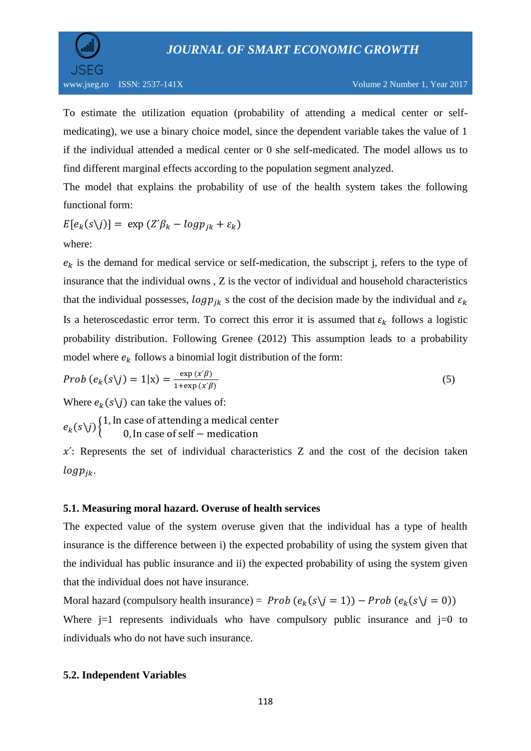

To estimate the utilization equation (probability of attending a medical center or selfmedicating), we use a binary choice model, since the dependent variable takes the value of 1 if the individual attended a medical center or 0 she self-medicated. The model allows us to find different marginal effects according to the population segment analyzed.

The model that explains the probability of use of the health system takes the following functional form:

$$
E[e_k(s\setminus j)] = \exp(Z'\beta_k - logp_{jk} + \varepsilon_k)
$$

where:

 $e_k$  is the demand for medical service or self-medication, the subscript j, refers to the type of insurance that the individual owns , Z is the vector of individual and household characteristics that the individual possesses,  $log p_{ik}$  s the cost of the decision made by the individual and  $\varepsilon_k$ Is a heteroscedastic error term. To correct this error it is assumed that  $\varepsilon_k$  follows a logistic probability distribution. Following Grenee (2012) This assumption leads to a probability model where  $e_k$  follows a binomial logit distribution of the form:

$$
Prob\left(e_k(s\backslash j)=1|\mathbf{x}\right)=\frac{\exp\left(x'\beta\right)}{1+\exp\left(x'\beta\right)}
$$
\n<sup>(5)</sup>

Where  $e_k(s \setminus j)$  can take the values of:

 $e_k(s\setminus j)$ <sup>{1}</sup>  $\boldsymbol{0}$ 

 $x'$ : Represents the set of individual characteristics Z and the cost of the decision taken  $log p_{jk}$ .

### **5.1. Measuring moral hazard. Overuse of health services**

The expected value of the system overuse given that the individual has a type of health insurance is the difference between i) the expected probability of using the system given that the individual has public insurance and ii) the expected probability of using the system given that the individual does not have insurance.

Moral hazard (compulsory health insurance) =  $Prob(e_k(s\ j=1)) - Prob(e_k(s))$ Where  $j=1$  represents individuals who have compulsory public insurance and  $j=0$  to individuals who do not have such insurance.

### **5.2. Independent Variables**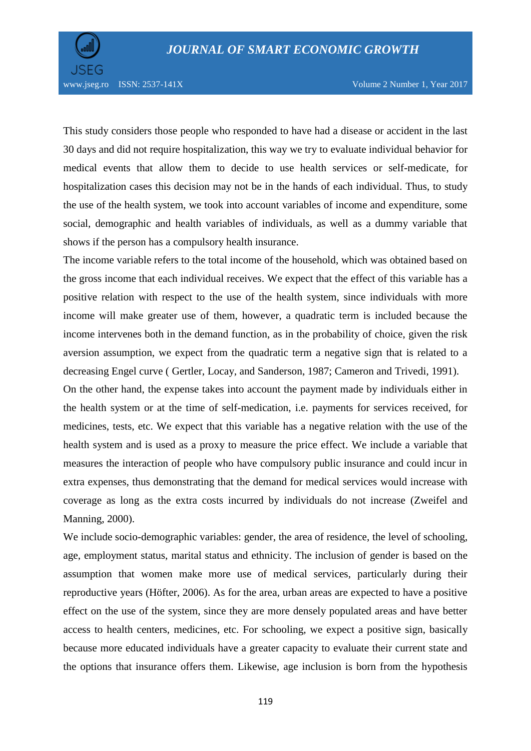

www.jseg.ro ISSN: 2537-141X Volume 2 Number 1, Year 2017

This study considers those people who responded to have had a disease or accident in the last 30 days and did not require hospitalization, this way we try to evaluate individual behavior for medical events that allow them to decide to use health services or self-medicate, for hospitalization cases this decision may not be in the hands of each individual. Thus, to study the use of the health system, we took into account variables of income and expenditure, some social, demographic and health variables of individuals, as well as a dummy variable that shows if the person has a compulsory health insurance.

The income variable refers to the total income of the household, which was obtained based on the gross income that each individual receives. We expect that the effect of this variable has a positive relation with respect to the use of the health system, since individuals with more income will make greater use of them, however, a quadratic term is included because the income intervenes both in the demand function, as in the probability of choice, given the risk aversion assumption, we expect from the quadratic term a negative sign that is related to a decreasing Engel curve ( Gertler, Locay, and Sanderson, 1987; Cameron and Trivedi, 1991).

On the other hand, the expense takes into account the payment made by individuals either in the health system or at the time of self-medication, i.e. payments for services received, for medicines, tests, etc. We expect that this variable has a negative relation with the use of the health system and is used as a proxy to measure the price effect. We include a variable that measures the interaction of people who have compulsory public insurance and could incur in extra expenses, thus demonstrating that the demand for medical services would increase with coverage as long as the extra costs incurred by individuals do not increase (Zweifel and Manning, 2000).

We include socio-demographic variables: gender, the area of residence, the level of schooling, age, employment status, marital status and ethnicity. The inclusion of gender is based on the assumption that women make more use of medical services, particularly during their reproductive years (Höfter, 2006). As for the area, urban areas are expected to have a positive effect on the use of the system, since they are more densely populated areas and have better access to health centers, medicines, etc. For schooling, we expect a positive sign, basically because more educated individuals have a greater capacity to evaluate their current state and the options that insurance offers them. Likewise, age inclusion is born from the hypothesis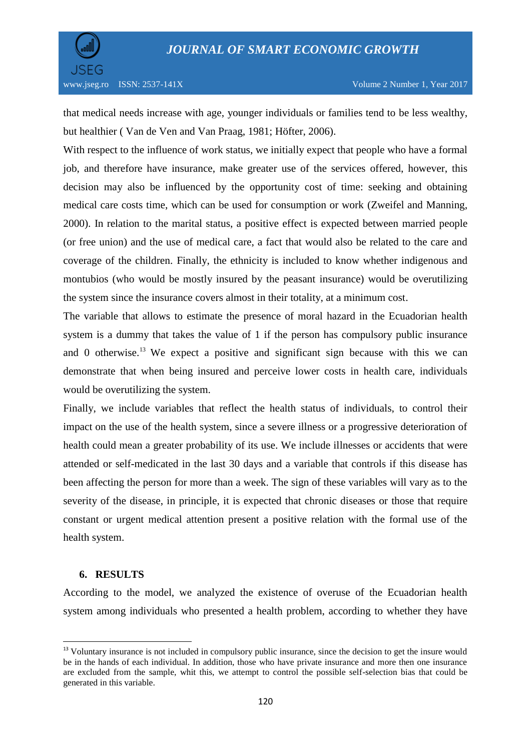

that medical needs increase with age, younger individuals or families tend to be less wealthy, but healthier ( Van de Ven and Van Praag, 1981; Höfter, 2006).

With respect to the influence of work status, we initially expect that people who have a formal job, and therefore have insurance, make greater use of the services offered, however, this decision may also be influenced by the opportunity cost of time: seeking and obtaining medical care costs time, which can be used for consumption or work (Zweifel and Manning, 2000). In relation to the marital status, a positive effect is expected between married people (or free union) and the use of medical care, a fact that would also be related to the care and coverage of the children. Finally, the ethnicity is included to know whether indigenous and montubios (who would be mostly insured by the peasant insurance) would be overutilizing the system since the insurance covers almost in their totality, at a minimum cost.

The variable that allows to estimate the presence of moral hazard in the Ecuadorian health system is a dummy that takes the value of 1 if the person has compulsory public insurance and 0 otherwise.<sup>13</sup> We expect a positive and significant sign because with this we can demonstrate that when being insured and perceive lower costs in health care, individuals would be overutilizing the system.

Finally, we include variables that reflect the health status of individuals, to control their impact on the use of the health system, since a severe illness or a progressive deterioration of health could mean a greater probability of its use. We include illnesses or accidents that were attended or self-medicated in the last 30 days and a variable that controls if this disease has been affecting the person for more than a week. The sign of these variables will vary as to the severity of the disease, in principle, it is expected that chronic diseases or those that require constant or urgent medical attention present a positive relation with the formal use of the health system.

### **6. RESULTS**

 $\overline{a}$ 

According to the model, we analyzed the existence of overuse of the Ecuadorian health system among individuals who presented a health problem, according to whether they have

<sup>&</sup>lt;sup>13</sup> Voluntary insurance is not included in compulsory public insurance, since the decision to get the insure would be in the hands of each individual. In addition, those who have private insurance and more then one insurance are excluded from the sample, whit this, we attempt to control the possible self-selection bias that could be generated in this variable.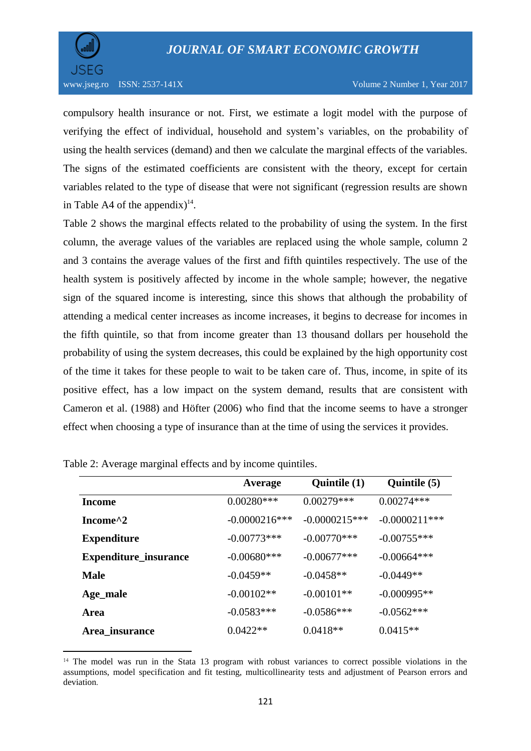

 $\overline{a}$ 

compulsory health insurance or not. First, we estimate a logit model with the purpose of verifying the effect of individual, household and system's variables, on the probability of using the health services (demand) and then we calculate the marginal effects of the variables. The signs of the estimated coefficients are consistent with the theory, except for certain variables related to the type of disease that were not significant (regression results are shown in Table A4 of the appendix)<sup>14</sup>.

Table 2 shows the marginal effects related to the probability of using the system. In the first column, the average values of the variables are replaced using the whole sample, column 2 and 3 contains the average values of the first and fifth quintiles respectively. The use of the health system is positively affected by income in the whole sample; however, the negative sign of the squared income is interesting, since this shows that although the probability of attending a medical center increases as income increases, it begins to decrease for incomes in the fifth quintile, so that from income greater than 13 thousand dollars per household the probability of using the system decreases, this could be explained by the high opportunity cost of the time it takes for these people to wait to be taken care of. Thus, income, in spite of its positive effect, has a low impact on the system demand, results that are consistent with Cameron et al. (1988) and Höfter (2006) who find that the income seems to have a stronger effect when choosing a type of insurance than at the time of using the services it provides.

|                       | Average         | Quintile (1)    | Quintile (5)     |
|-----------------------|-----------------|-----------------|------------------|
| Income                | $0.00280***$    | $0.00279***$    | $0.00274***$     |
| Income <sup>^2</sup>  | $-0.0000216***$ | $-0.0000215***$ | $-0.0000211$ *** |
| <b>Expenditure</b>    | $-0.00773***$   | $-0.00770$ ***  | $-0.00755***$    |
| Expenditure_insurance | $-0.00680***$   | $-0.00677$ ***  | $-0.00664***$    |
| <b>Male</b>           | $-0.0459**$     | $-0.0458**$     | $-0.0449**$      |
| Age_male              | $-0.00102**$    | $-0.00101**$    | $-0.000995**$    |
| <b>Area</b>           | $-0.0583***$    | $-0.0586***$    | $-0.0562***$     |
| Area_insurance        | $0.0422**$      | $0.0418**$      | $0.0415**$       |

| Table 2: Average marginal effects and by income quintiles. |  |
|------------------------------------------------------------|--|
|------------------------------------------------------------|--|

<sup>&</sup>lt;sup>14</sup> The model was run in the Stata 13 program with robust variances to correct possible violations in the assumptions, model specification and fit testing, multicollinearity tests and adjustment of Pearson errors and deviation.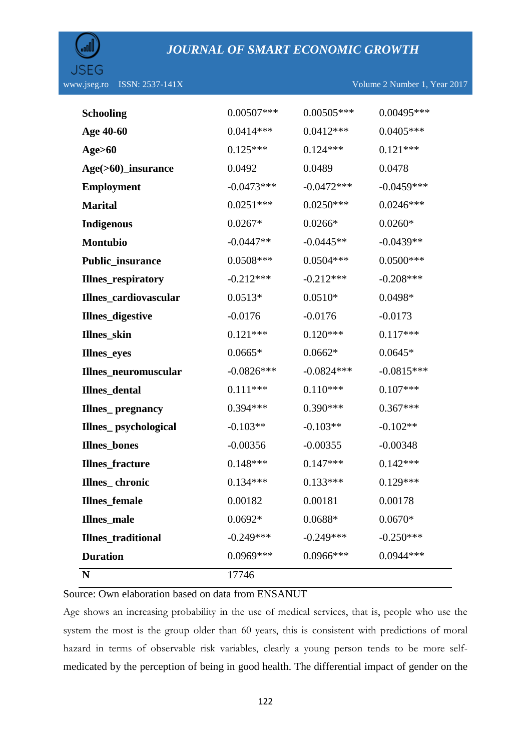

| <b>Duration</b>           | $0.0969***$  | $0.0966$ *** | $0.0944***$  |
|---------------------------|--------------|--------------|--------------|
| <b>Illnes_traditional</b> | $-0.249***$  | $-0.249***$  | $-0.250***$  |
| <b>Illnes_male</b>        | $0.0692*$    | $0.0688*$    | $0.0670*$    |
| <b>Illnes_female</b>      | 0.00182      | 0.00181      | 0.00178      |
| Illnes_chronic            | $0.134***$   | $0.133***$   | $0.129***$   |
| <b>Illnes_fracture</b>    | $0.148***$   | $0.147***$   | $0.142***$   |
| <b>Illnes_bones</b>       | $-0.00356$   | $-0.00355$   | $-0.00348$   |
| Illnes_psychological      | $-0.103**$   | $-0.103**$   | $-0.102**$   |
| Illnes_pregnancy          | $0.394***$   | $0.390***$   | $0.367***$   |
| Illnes_dental             | $0.111***$   | $0.110***$   | $0.107***$   |
| Illnes_neuromuscular      | $-0.0826***$ | $-0.0824***$ | $-0.0815***$ |
| <b>Illnes_eyes</b>        | $0.0665*$    | $0.0662*$    | $0.0645*$    |
| Illnes_skin               | $0.121***$   | $0.120***$   | $0.117***$   |
| Illnes_digestive          | $-0.0176$    | $-0.0176$    | $-0.0173$    |
| Illnes_cardiovascular     | $0.0513*$    | $0.0510*$    | 0.0498*      |
| Illnes_respiratory        | $-0.212***$  | $-0.212***$  | $-0.208***$  |
| Public_insurance          | $0.0508***$  | $0.0504***$  | $0.0500***$  |
| Montubio                  | $-0.0447**$  | $-0.0445**$  | $-0.0439**$  |
| <b>Indigenous</b>         | $0.0267*$    | $0.0266*$    | $0.0260*$    |
| <b>Marital</b>            | $0.0251***$  | $0.0250***$  | $0.0246***$  |
| <b>Employment</b>         | $-0.0473***$ | $-0.0472***$ | $-0.0459***$ |
| Age(>60)_insurance        | 0.0492       | 0.0489       | 0.0478       |
| <b>Age&gt;60</b>          | $0.125***$   | $0.124***$   | $0.121***$   |
| Age 40-60                 | $0.0414***$  | $0.0412***$  | $0.0405***$  |
| <b>Schooling</b>          | $0.00507***$ | $0.00505***$ | 0.00495***   |
|                           |              |              |              |

Source: Own elaboration based on data from ENSANUT

Age shows an increasing probability in the use of medical services, that is, people who use the system the most is the group older than 60 years, this is consistent with predictions of moral hazard in terms of observable risk variables, clearly a young person tends to be more selfmedicated by the perception of being in good health. The differential impact of gender on the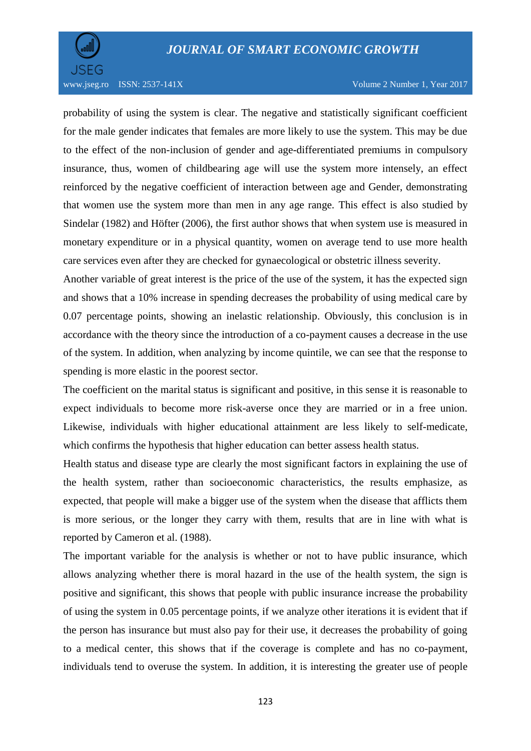

probability of using the system is clear. The negative and statistically significant coefficient for the male gender indicates that females are more likely to use the system. This may be due to the effect of the non-inclusion of gender and age-differentiated premiums in compulsory insurance, thus, women of childbearing age will use the system more intensely, an effect reinforced by the negative coefficient of interaction between age and Gender, demonstrating that women use the system more than men in any age range. This effect is also studied by Sindelar (1982) and Höfter (2006), the first author shows that when system use is measured in monetary expenditure or in a physical quantity, women on average tend to use more health care services even after they are checked for gynaecological or obstetric illness severity.

Another variable of great interest is the price of the use of the system, it has the expected sign and shows that a 10% increase in spending decreases the probability of using medical care by 0.07 percentage points, showing an inelastic relationship. Obviously, this conclusion is in accordance with the theory since the introduction of a co-payment causes a decrease in the use of the system. In addition, when analyzing by income quintile, we can see that the response to spending is more elastic in the poorest sector.

The coefficient on the marital status is significant and positive, in this sense it is reasonable to expect individuals to become more risk-averse once they are married or in a free union. Likewise, individuals with higher educational attainment are less likely to self-medicate, which confirms the hypothesis that higher education can better assess health status.

Health status and disease type are clearly the most significant factors in explaining the use of the health system, rather than socioeconomic characteristics, the results emphasize, as expected, that people will make a bigger use of the system when the disease that afflicts them is more serious, or the longer they carry with them, results that are in line with what is reported by Cameron et al. (1988).

The important variable for the analysis is whether or not to have public insurance, which allows analyzing whether there is moral hazard in the use of the health system, the sign is positive and significant, this shows that people with public insurance increase the probability of using the system in 0.05 percentage points, if we analyze other iterations it is evident that if the person has insurance but must also pay for their use, it decreases the probability of going to a medical center, this shows that if the coverage is complete and has no co-payment, individuals tend to overuse the system. In addition, it is interesting the greater use of people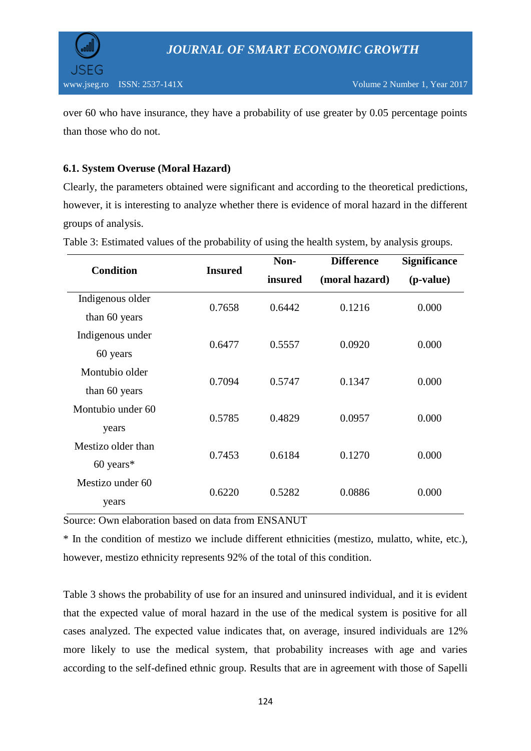



over 60 who have insurance, they have a probability of use greater by 0.05 percentage points than those who do not.

### **6.1. System Overuse (Moral Hazard)**

Clearly, the parameters obtained were significant and according to the theoretical predictions, however, it is interesting to analyze whether there is evidence of moral hazard in the different groups of analysis.

| <b>Condition</b>   |                | Non-    | <b>Difference</b> | <b>Significance</b> |  |
|--------------------|----------------|---------|-------------------|---------------------|--|
|                    | <b>Insured</b> | insured | (moral hazard)    | (p-value)           |  |
| Indigenous older   | 0.7658         | 0.6442  | 0.1216            | 0.000               |  |
| than 60 years      |                |         |                   |                     |  |
| Indigenous under   | 0.6477         | 0.5557  | 0.0920            | 0.000               |  |
| 60 years           |                |         |                   |                     |  |
| Montubio older     |                |         |                   |                     |  |
| than 60 years      | 0.7094         | 0.5747  | 0.1347            | 0.000               |  |
| Montubio under 60  |                |         |                   |                     |  |
| years              | 0.5785         | 0.4829  | 0.0957            | 0.000               |  |
| Mestizo older than |                |         |                   |                     |  |
| $60$ years*        | 0.7453         | 0.6184  | 0.1270            | 0.000               |  |
| Mestizo under 60   |                |         |                   |                     |  |
| years              | 0.6220         | 0.5282  | 0.0886            | 0.000               |  |

Table 3: Estimated values of the probability of using the health system, by analysis groups.

Source: Own elaboration based on data from ENSANUT

\* In the condition of mestizo we include different ethnicities (mestizo, mulatto, white, etc.), however, mestizo ethnicity represents 92% of the total of this condition.

Table 3 shows the probability of use for an insured and uninsured individual, and it is evident that the expected value of moral hazard in the use of the medical system is positive for all cases analyzed. The expected value indicates that, on average, insured individuals are 12% more likely to use the medical system, that probability increases with age and varies according to the self-defined ethnic group. Results that are in agreement with those of Sapelli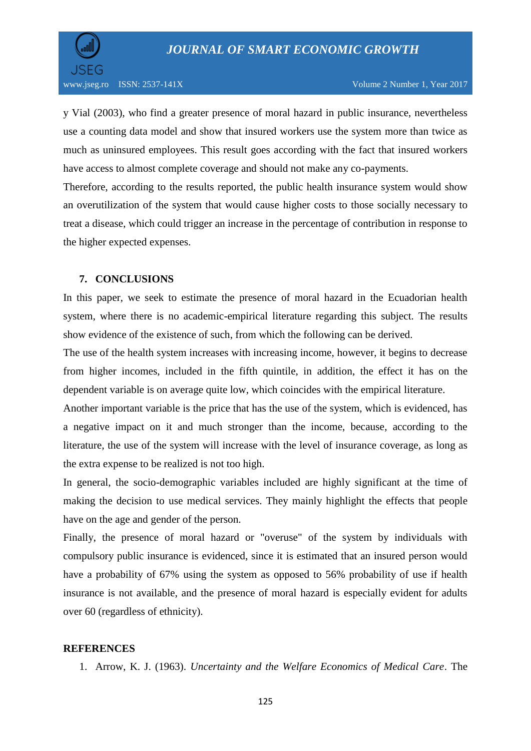

y Vial (2003), who find a greater presence of moral hazard in public insurance, nevertheless use a counting data model and show that insured workers use the system more than twice as much as uninsured employees. This result goes according with the fact that insured workers have access to almost complete coverage and should not make any co-payments.

Therefore, according to the results reported, the public health insurance system would show an overutilization of the system that would cause higher costs to those socially necessary to treat a disease, which could trigger an increase in the percentage of contribution in response to the higher expected expenses.

#### **7. CONCLUSIONS**

In this paper, we seek to estimate the presence of moral hazard in the Ecuadorian health system, where there is no academic-empirical literature regarding this subject. The results show evidence of the existence of such, from which the following can be derived.

The use of the health system increases with increasing income, however, it begins to decrease from higher incomes, included in the fifth quintile, in addition, the effect it has on the dependent variable is on average quite low, which coincides with the empirical literature.

Another important variable is the price that has the use of the system, which is evidenced, has a negative impact on it and much stronger than the income, because, according to the literature, the use of the system will increase with the level of insurance coverage, as long as the extra expense to be realized is not too high.

In general, the socio-demographic variables included are highly significant at the time of making the decision to use medical services. They mainly highlight the effects that people have on the age and gender of the person.

Finally, the presence of moral hazard or "overuse" of the system by individuals with compulsory public insurance is evidenced, since it is estimated that an insured person would have a probability of 67% using the system as opposed to 56% probability of use if health insurance is not available, and the presence of moral hazard is especially evident for adults over 60 (regardless of ethnicity).

#### **REFERENCES**

1. Arrow, K. J. (1963). *Uncertainty and the Welfare Economics of Medical Care*. The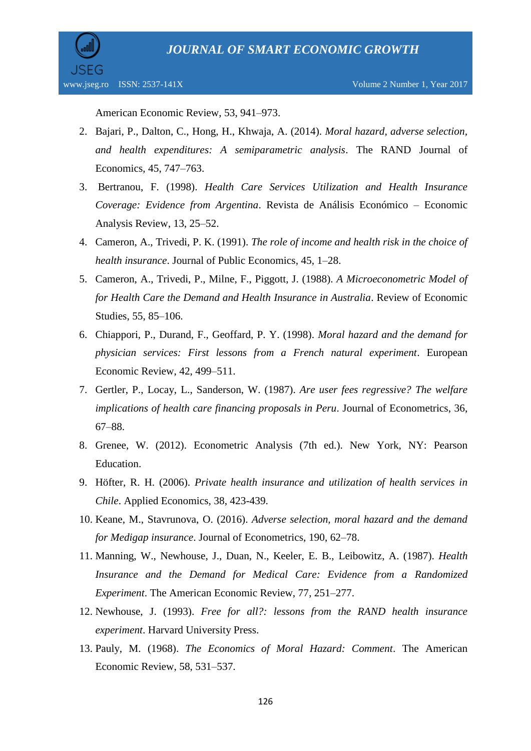

American Economic Review, 53, 941–973.

- 2. Bajari, P., Dalton, C., Hong, H., Khwaja, A. (2014). *Moral hazard, adverse selection, and health expenditures: A semiparametric analysis*. The RAND Journal of Economics, 45, 747–763.
- 3. Bertranou, F. (1998). *Health Care Services Utilization and Health Insurance Coverage: Evidence from Argentina*. Revista de Análisis Económico – Economic Analysis Review, 13, 25–52.
- 4. Cameron, A., Trivedi, P. K. (1991). *The role of income and health risk in the choice of health insurance*. Journal of Public Economics, 45, 1–28.
- 5. Cameron, A., Trivedi, P., Milne, F., Piggott, J. (1988). *A Microeconometric Model of for Health Care the Demand and Health Insurance in Australia*. Review of Economic Studies, 55, 85–106.
- 6. Chiappori, P., Durand, F., Geoffard, P. Y. (1998). *Moral hazard and the demand for physician services: First lessons from a French natural experiment*. European Economic Review, 42, 499–511.
- 7. Gertler, P., Locay, L., Sanderson, W. (1987). *Are user fees regressive? The welfare implications of health care financing proposals in Peru*. Journal of Econometrics, 36, 67–88.
- 8. Grenee, W. (2012). Econometric Analysis (7th ed.). New York, NY: Pearson Education.
- 9. Höfter, R. H. (2006). *Private health insurance and utilization of health services in Chile*. Applied Economics, 38, 423-439.
- 10. Keane, M., Stavrunova, O. (2016). *Adverse selection, moral hazard and the demand for Medigap insurance*. Journal of Econometrics, 190, 62–78.
- 11. Manning, W., Newhouse, J., Duan, N., Keeler, E. B., Leibowitz, A. (1987). *Health Insurance and the Demand for Medical Care: Evidence from a Randomized Experiment*. The American Economic Review, 77, 251–277.
- 12. Newhouse, J. (1993). *Free for all?: lessons from the RAND health insurance experiment*. Harvard University Press.
- 13. Pauly, M. (1968). *The Economics of Moral Hazard: Comment*. The American Economic Review, 58, 531–537.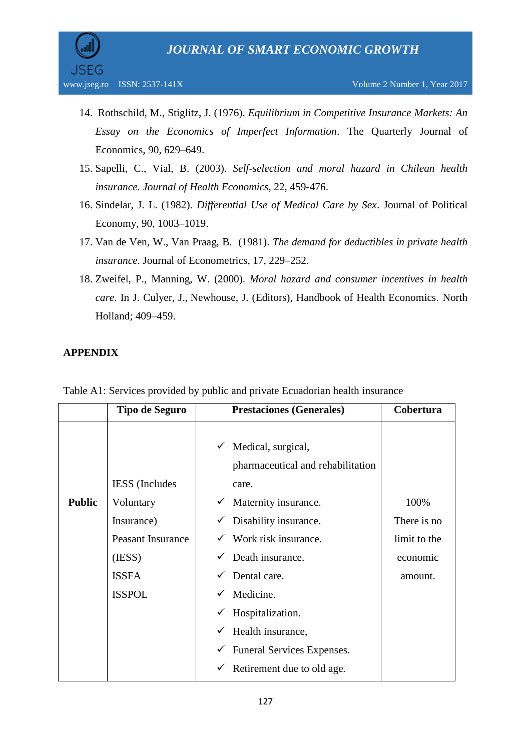

- 14. Rothschild, M., Stiglitz, J. (1976). *Equilibrium in Competitive Insurance Markets: An Essay on the Economics of Imperfect Information*. The Quarterly Journal of Economics, 90, 629–649.
- 15. Sapelli, C., Vial, B. (2003). *Self-selection and moral hazard in Chilean health insurance. Journal of Health Economics*, 22, 459-476.
- 16. Sindelar, J. L. (1982). *Differential Use of Medical Care by Sex*. Journal of Political Economy, 90, 1003–1019.
- 17. Van de Ven, W., Van Praag, B. (1981). *The demand for deductibles in private health insurance*. Journal of Econometrics, 17, 229–252.
- 18. Zweifel, P., Manning, W. (2000). *Moral hazard and consumer incentives in health care*. In J. Culyer, J., Newhouse, J. (Editors), Handbook of Health Economics. North Holland; 409–459.

### **APPENDIX**

|               | <b>Tipo de Seguro</b>    | <b>Prestaciones (Generales)</b>                              | Cobertura    |
|---------------|--------------------------|--------------------------------------------------------------|--------------|
|               |                          | Medical, surgical,<br>✓<br>pharmaceutical and rehabilitation |              |
|               | <b>IESS</b> (Includes    | care.                                                        |              |
| <b>Public</b> | Voluntary                | Maternity insurance.                                         | 100%         |
|               | Insurance)               | Disability insurance.                                        | There is no  |
|               | <b>Peasant Insurance</b> | Work risk insurance.                                         | limit to the |
|               | (IESS)                   | Death insurance.                                             | economic     |
|               | <b>ISSFA</b>             | Dental care.                                                 | amount.      |
|               | <b>ISSPOL</b>            | Medicine.                                                    |              |
|               |                          | Hospitalization.                                             |              |
|               |                          | Health insurance,<br>✓                                       |              |
|               |                          | Funeral Services Expenses.<br>$\checkmark$                   |              |
|               |                          | Retirement due to old age.                                   |              |

Table A1: Services provided by public and private Ecuadorian health insurance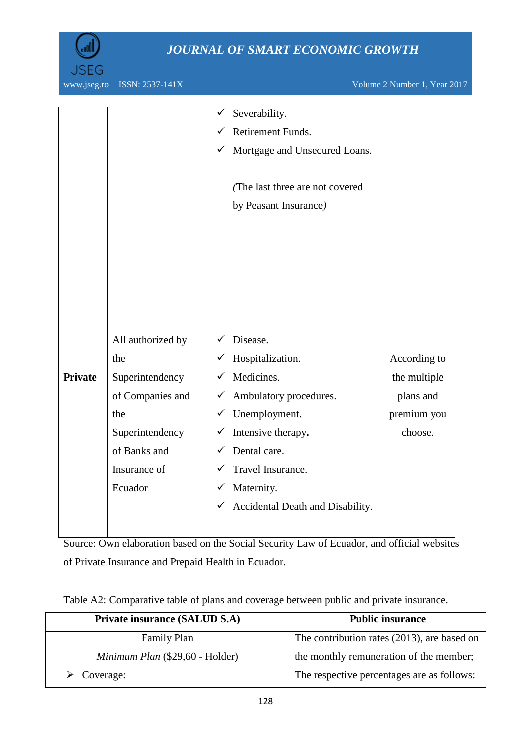

www.jseg.ro ISSN: 2537-141X Volume 2 Number 1, Year 2017

|                |                   |              | Severability.                    |              |
|----------------|-------------------|--------------|----------------------------------|--------------|
|                |                   |              | Retirement Funds.                |              |
|                |                   | ✓            | Mortgage and Unsecured Loans.    |              |
|                |                   |              |                                  |              |
|                |                   |              | (The last three are not covered  |              |
|                |                   |              | by Peasant Insurance)            |              |
|                |                   |              |                                  |              |
|                |                   |              |                                  |              |
|                |                   |              |                                  |              |
|                |                   |              |                                  |              |
|                |                   |              |                                  |              |
|                |                   |              |                                  |              |
|                |                   |              |                                  |              |
|                | All authorized by |              | Disease.                         |              |
|                | the               | ✓            | Hospitalization.                 | According to |
| <b>Private</b> | Superintendency   | ✓            | Medicines.                       | the multiple |
|                | of Companies and  | $\checkmark$ | Ambulatory procedures.           | plans and    |
|                | the               |              | $\checkmark$ Unemployment.       | premium you  |
|                | Superintendency   | ✓            | Intensive therapy.               | choose.      |
|                | of Banks and      |              | Dental care.                     |              |
|                | Insurance of      |              | Travel Insurance.                |              |
|                | Ecuador           | ✓            | Maternity.                       |              |
|                |                   | $\checkmark$ | Accidental Death and Disability. |              |
|                |                   |              |                                  |              |
|                |                   |              |                                  |              |

Source: Own elaboration based on the Social Security Law of Ecuador, and official websites of Private Insurance and Prepaid Health in Ecuador.

| Private insurance (SALUD S.A)   | <b>Public insurance</b>                     |
|---------------------------------|---------------------------------------------|
| <b>Family Plan</b>              | The contribution rates (2013), are based on |
| Minimum Plan (\$29,60 - Holder) | the monthly remuneration of the member;     |
| $\triangleright$ Coverage:      | The respective percentages are as follows:  |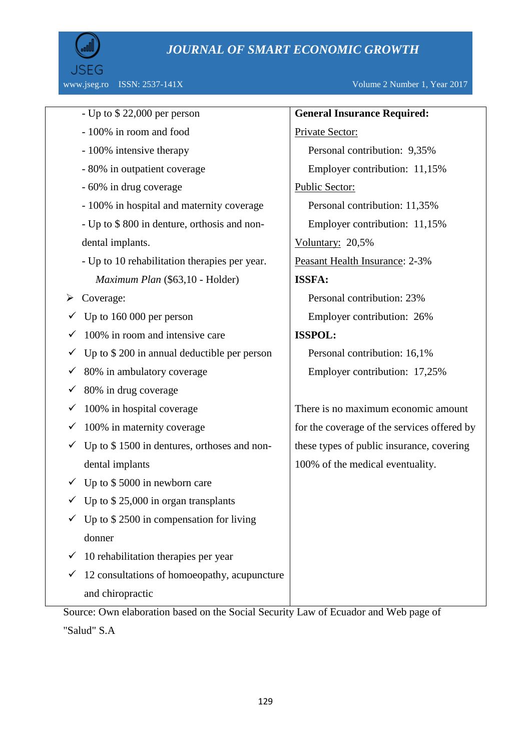

www.jseg.ro ISSN: 2537-141X Volume 2 Number 1, Year 2017

|   | - Up to $$22,000$ per person                                  | <b>General Insurance Required:</b>          |
|---|---------------------------------------------------------------|---------------------------------------------|
|   | - 100% in room and food                                       | Private Sector:                             |
|   | - 100% intensive therapy                                      | Personal contribution: 9,35%                |
|   | - 80% in outpatient coverage                                  | Employer contribution: 11,15%               |
|   | - 60% in drug coverage                                        | Public Sector:                              |
|   | - 100% in hospital and maternity coverage                     | Personal contribution: 11,35%               |
|   | - Up to \$800 in denture, orthosis and non-                   | Employer contribution: 11,15%               |
|   | dental implants.                                              | Voluntary: 20,5%                            |
|   | - Up to 10 rehabilitation therapies per year.                 | Peasant Health Insurance: 2-3%              |
|   | Maximum Plan (\$63,10 - Holder)                               | ISSFA:                                      |
| ➤ | Coverage:                                                     | Personal contribution: 23%                  |
|   | Up to 160 000 per person                                      | Employer contribution: 26%                  |
|   | 100% in room and intensive care                               | <b>ISSPOL:</b>                              |
|   | Up to \$200 in annual deductible per person                   | Personal contribution: 16,1%                |
|   | 80% in ambulatory coverage                                    | Employer contribution: 17,25%               |
|   | 80% in drug coverage                                          |                                             |
|   | 100% in hospital coverage                                     | There is no maximum economic amount         |
|   | 100% in maternity coverage                                    | for the coverage of the services offered by |
|   | Up to \$1500 in dentures, orthoses and non-                   | these types of public insurance, covering   |
|   | dental implants                                               | 100% of the medical eventuality.            |
|   | $\checkmark$ Up to \$5000 in newborn care                     |                                             |
|   | $\overline{\phantom{0}}$ Up to \$ 25,000 in organ transplants |                                             |
|   | Up to $$2500$ in compensation for living                      |                                             |
|   | donner                                                        |                                             |
|   | 10 rehabilitation therapies per year                          |                                             |
|   | 12 consultations of homoeopathy, acupuncture                  |                                             |
|   | and chiropractic                                              |                                             |
|   |                                                               |                                             |

Source: Own elaboration based on the Social Security Law of Ecuador and Web page of

"Salud" S.A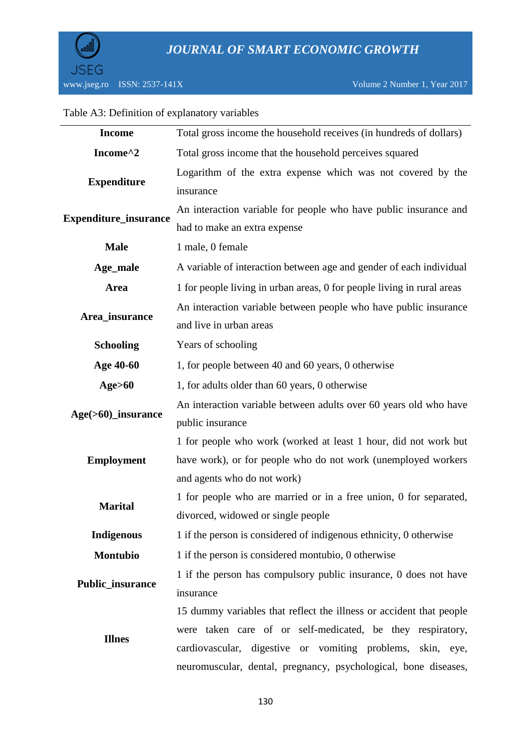

### Table A3: Definition of explanatory variables

| <b>Income</b>                | Total gross income the household receives (in hundreds of dollars)     |  |  |
|------------------------------|------------------------------------------------------------------------|--|--|
| Income^2                     | Total gross income that the household perceives squared                |  |  |
|                              | Logarithm of the extra expense which was not covered by the            |  |  |
| <b>Expenditure</b>           | insurance                                                              |  |  |
| <b>Expenditure_insurance</b> | An interaction variable for people who have public insurance and       |  |  |
|                              | had to make an extra expense                                           |  |  |
| <b>Male</b>                  | 1 male, 0 female                                                       |  |  |
| Age_male                     | A variable of interaction between age and gender of each individual    |  |  |
| <b>Area</b>                  | 1 for people living in urban areas, 0 for people living in rural areas |  |  |
|                              | An interaction variable between people who have public insurance       |  |  |
| Area_insurance               | and live in urban areas                                                |  |  |
| <b>Schooling</b>             | Years of schooling                                                     |  |  |
| Age 40-60                    | 1, for people between 40 and 60 years, 0 otherwise                     |  |  |
| Age>60                       | 1, for adults older than 60 years, 0 otherwise                         |  |  |
|                              | An interaction variable between adults over 60 years old who have      |  |  |
| Age(>60)_insurance           | public insurance                                                       |  |  |
|                              | 1 for people who work (worked at least 1 hour, did not work but        |  |  |
| <b>Employment</b>            | have work), or for people who do not work (unemployed workers          |  |  |
|                              | and agents who do not work)                                            |  |  |
| <b>Marital</b>               | 1 for people who are married or in a free union, 0 for separated,      |  |  |
|                              | divorced, widowed or single people                                     |  |  |
| <b>Indigenous</b>            | 1 if the person is considered of indigenous ethnicity, 0 otherwise     |  |  |
| Montubio                     | 1 if the person is considered montubio, 0 otherwise                    |  |  |
| Public_insurance             | 1 if the person has compulsory public insurance, 0 does not have       |  |  |
|                              | insurance                                                              |  |  |
|                              | 15 dummy variables that reflect the illness or accident that people    |  |  |
| <b>Illnes</b>                | were taken care of or self-medicated, be they respiratory,             |  |  |
|                              | cardiovascular, digestive or vomiting problems, skin, eye,             |  |  |
|                              | neuromuscular, dental, pregnancy, psychological, bone diseases,        |  |  |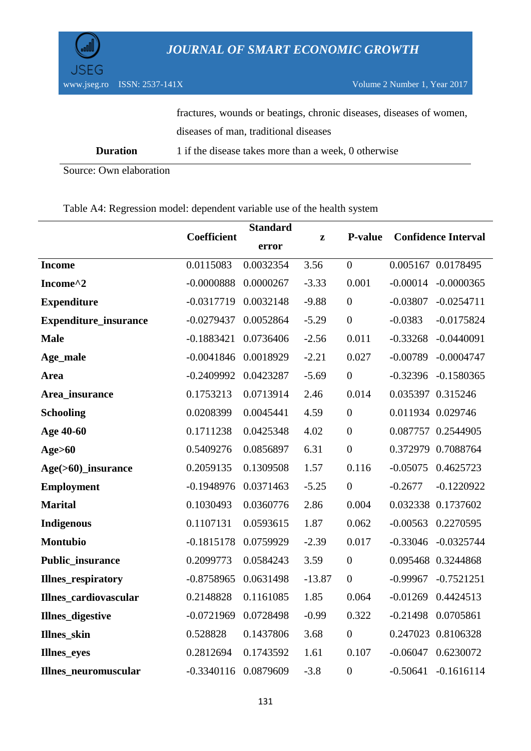

www.jseg.ro ISSN: 2537-141X Volume 2 Number 1, Year 2017

|          | fractures, wounds or beatings, chronic diseases, diseases of women, |
|----------|---------------------------------------------------------------------|
|          | diseases of man, traditional diseases                               |
| Duration | 1 if the disease takes more than a week, 0 otherwise                |

Source: Own elaboration

### Table A4: Regression model: dependent variable use of the health system

|                             |              | <b>Standard</b> |          |                  | <b>Confidence Interval</b> |  |
|-----------------------------|--------------|-----------------|----------|------------------|----------------------------|--|
|                             | Coefficient  | error           | z        | <b>P-value</b>   |                            |  |
| <b>Income</b>               | 0.0115083    | 0.0032354       | 3.56     | $\theta$         | 0.005167 0.0178495         |  |
| Income^2                    | $-0.0000888$ | 0.0000267       | $-3.33$  | 0.001            | $-0.00014$<br>$-0.0000365$ |  |
| <b>Expenditure</b>          | $-0.0317719$ | 0.0032148       | $-9.88$  | $\overline{0}$   | $-0.03807$<br>$-0.0254711$ |  |
| Expenditure_insurance       | $-0.0279437$ | 0.0052864       | $-5.29$  | $\overline{0}$   | $-0.0383$<br>$-0.0175824$  |  |
| <b>Male</b>                 | $-0.1883421$ | 0.0736406       | $-2.56$  | 0.011            | $-0.33268$<br>$-0.0440091$ |  |
| Age_male                    | $-0.0041846$ | 0.0018929       | $-2.21$  | 0.027            | $-0.00789$<br>$-0.0004747$ |  |
| Area                        | $-0.2409992$ | 0.0423287       | $-5.69$  | $\overline{0}$   | $-0.32396$ $-0.1580365$    |  |
| Area_insurance              | 0.1753213    | 0.0713914       | 2.46     | 0.014            | 0.035397 0.315246          |  |
| <b>Schooling</b>            | 0.0208399    | 0.0045441       | 4.59     | $\overline{0}$   | 0.011934 0.029746          |  |
| Age 40-60                   | 0.1711238    | 0.0425348       | 4.02     | $\overline{0}$   | 0.087757 0.2544905         |  |
| Age>60                      | 0.5409276    | 0.0856897       | 6.31     | $\overline{0}$   | 0.372979 0.7088764         |  |
| Age(>60)_insurance          | 0.2059135    | 0.1309508       | 1.57     | 0.116            | $-0.05075$<br>0.4625723    |  |
| Employment                  | $-0.1948976$ | 0.0371463       | $-5.25$  | $\overline{0}$   | $-0.2677$<br>$-0.1220922$  |  |
| <b>Marital</b>              | 0.1030493    | 0.0360776       | 2.86     | 0.004            | 0.032338 0.1737602         |  |
| <b>Indigenous</b>           | 0.1107131    | 0.0593615       | 1.87     | 0.062            | $-0.00563$ 0.2270595       |  |
| <b>Montubio</b>             | $-0.1815178$ | 0.0759929       | $-2.39$  | 0.017            | $-0.33046$ $-0.0325744$    |  |
| Public_insurance            | 0.2099773    | 0.0584243       | 3.59     | $\boldsymbol{0}$ | 0.095468 0.3244868         |  |
| <b>Illnes_respiratory</b>   | $-0.8758965$ | 0.0631498       | $-13.87$ | $\boldsymbol{0}$ | $-0.99967$<br>$-0.7521251$ |  |
| Illnes_cardiovascular       | 0.2148828    | 0.1161085       | 1.85     | 0.064            | $-0.01269$ $0.4424513$     |  |
| <b>Illnes_digestive</b>     | $-0.0721969$ | 0.0728498       | $-0.99$  | 0.322            | $-0.21498$ 0.0705861       |  |
| Illnes_skin                 | 0.528828     | 0.1437806       | 3.68     | $\overline{0}$   | 0.247023 0.8106328         |  |
| Illnes_eyes                 | 0.2812694    | 0.1743592       | 1.61     | 0.107            | $-0.06047$ $0.6230072$     |  |
| <b>Illnes_neuromuscular</b> | $-0.3340116$ | 0.0879609       | $-3.8$   | $\boldsymbol{0}$ | $-0.50641$<br>$-0.1616114$ |  |